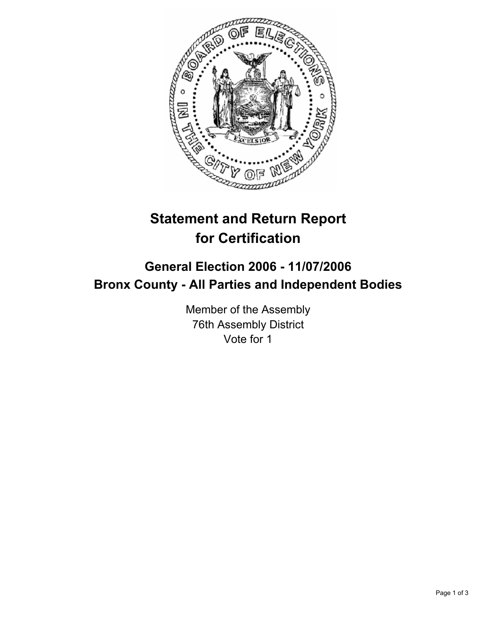

# **Statement and Return Report for Certification**

# **General Election 2006 - 11/07/2006 Bronx County - All Parties and Independent Bodies**

Member of the Assembly 76th Assembly District Vote for 1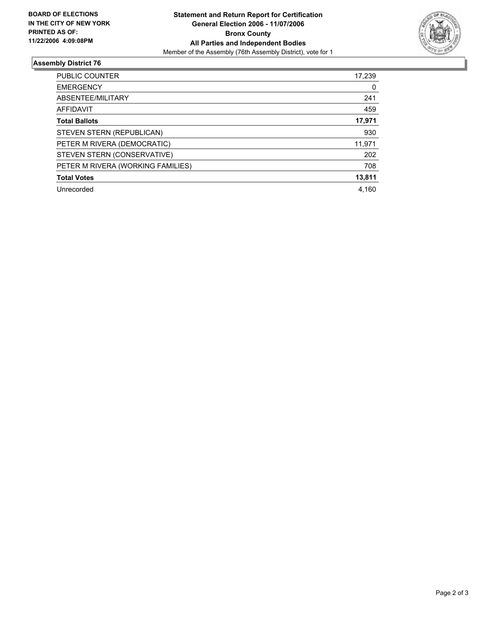

## **Assembly District 76**

| <b>PUBLIC COUNTER</b>             | 17,239 |
|-----------------------------------|--------|
| <b>EMERGENCY</b>                  | 0      |
| ABSENTEE/MILITARY                 | 241    |
| <b>AFFIDAVIT</b>                  | 459    |
| <b>Total Ballots</b>              | 17,971 |
| STEVEN STERN (REPUBLICAN)         | 930    |
| PETER M RIVERA (DEMOCRATIC)       | 11,971 |
| STEVEN STERN (CONSERVATIVE)       | 202    |
| PETER M RIVERA (WORKING FAMILIES) | 708    |
| <b>Total Votes</b>                | 13,811 |
| Unrecorded                        | 4.160  |